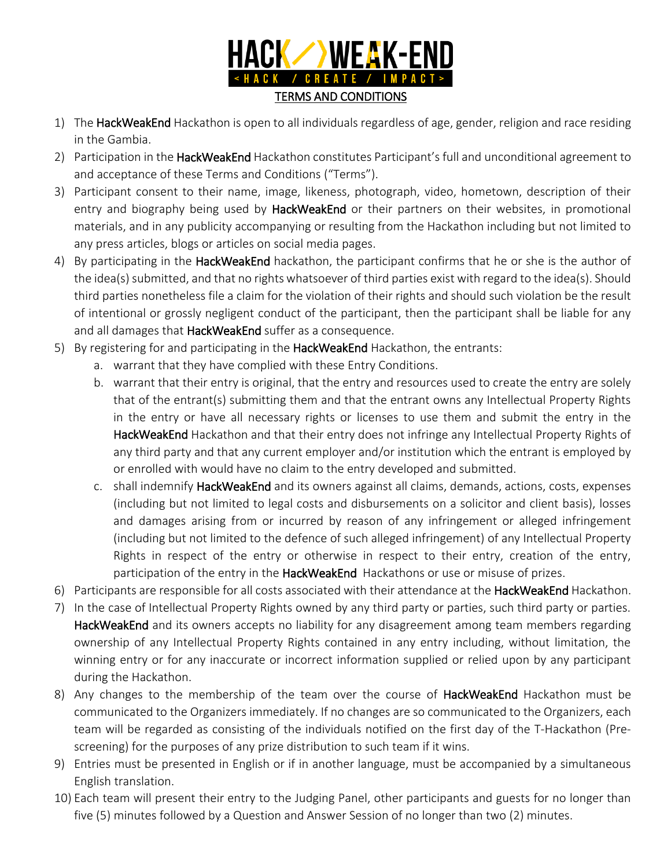

- 1) The HackWeakEnd Hackathon is open to all individuals regardless of age, gender, religion and race residing in the Gambia.
- 2) Participation in the HackWeakEnd Hackathon constitutes Participant's full and unconditional agreement to and acceptance of these Terms and Conditions ("Terms").
- 3) Participant consent to their name, image, likeness, photograph, video, hometown, description of their entry and biography being used by HackWeakEnd or their partners on their websites, in promotional materials, and in any publicity accompanying or resulting from the Hackathon including but not limited to any press articles, blogs or articles on social media pages.
- 4) By participating in the **HackWeakEnd** hackathon, the participant confirms that he or she is the author of the idea(s) submitted, and that no rights whatsoever of third parties exist with regard to the idea(s). Should third parties nonetheless file a claim for the violation of their rights and should such violation be the result of intentional or grossly negligent conduct of the participant, then the participant shall be liable for any and all damages that HackWeakEnd suffer as a consequence.
- 5) By registering for and participating in the HackWeakEnd Hackathon, the entrants:
	- a. warrant that they have complied with these Entry Conditions.
	- b. warrant that their entry is original, that the entry and resources used to create the entry are solely that of the entrant(s) submitting them and that the entrant owns any Intellectual Property Rights in the entry or have all necessary rights or licenses to use them and submit the entry in the HackWeakEnd Hackathon and that their entry does not infringe any Intellectual Property Rights of any third party and that any current employer and/or institution which the entrant is employed by or enrolled with would have no claim to the entry developed and submitted.
	- c. shall indemnify HackWeakEnd and its owners against all claims, demands, actions, costs, expenses (including but not limited to legal costs and disbursements on a solicitor and client basis), losses and damages arising from or incurred by reason of any infringement or alleged infringement (including but not limited to the defence of such alleged infringement) of any Intellectual Property Rights in respect of the entry or otherwise in respect to their entry, creation of the entry, participation of the entry in the HackWeakEnd Hackathons or use or misuse of prizes.
- 6) Participants are responsible for all costs associated with their attendance at the HackWeakEnd Hackathon.
- 7) In the case of Intellectual Property Rights owned by any third party or parties, such third party or parties. HackWeakEnd and its owners accepts no liability for any disagreement among team members regarding ownership of any Intellectual Property Rights contained in any entry including, without limitation, the winning entry or for any inaccurate or incorrect information supplied or relied upon by any participant during the Hackathon.
- 8) Any changes to the membership of the team over the course of **HackWeakEnd** Hackathon must be communicated to the Organizers immediately. If no changes are so communicated to the Organizers, each team will be regarded as consisting of the individuals notified on the first day of the T‐Hackathon (Pre‐ screening) for the purposes of any prize distribution to such team if it wins.
- 9) Entries must be presented in English or if in another language, must be accompanied by a simultaneous English translation.
- 10) Each team will present their entry to the Judging Panel, other participants and guests for no longer than five (5) minutes followed by a Question and Answer Session of no longer than two (2) minutes.